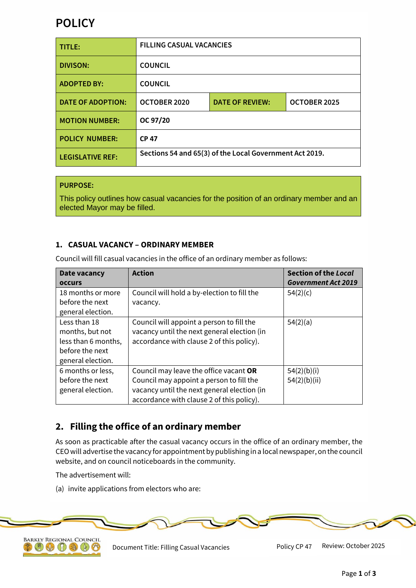# **POLICY**

| TITLE:                   | <b>FILLING CASUAL VACANCIES</b>                         |                        |              |
|--------------------------|---------------------------------------------------------|------------------------|--------------|
| <b>DIVISON:</b>          | <b>COUNCIL</b>                                          |                        |              |
| <b>ADOPTED BY:</b>       | <b>COUNCIL</b>                                          |                        |              |
| <b>DATE OF ADOPTION:</b> | OCTOBER 2020                                            | <b>DATE OF REVIEW:</b> | OCTOBER 2025 |
| <b>MOTION NUMBER:</b>    | OC 97/20                                                |                        |              |
| <b>POLICY NUMBER:</b>    | <b>CP 47</b>                                            |                        |              |
| <b>LEGISLATIVE REF:</b>  | Sections 54 and 65(3) of the Local Government Act 2019. |                        |              |

#### **PURPOSE:**

This policy outlines how casual vacancies for the position of an ordinary member and an elected Mayor may be filled.

#### **1. CASUAL VACANCY – ORDINARY MEMBER**

Council will fill casual vacancies in the office of an ordinary member as follows:

| Date vacancy        | <b>Action</b>                               | <b>Section of the Local</b> |
|---------------------|---------------------------------------------|-----------------------------|
| <b>OCCULS</b>       |                                             | <b>Government Act 2019</b>  |
| 18 months or more   | Council will hold a by-election to fill the | 54(2)(c)                    |
| before the next     | vacancy.                                    |                             |
| general election.   |                                             |                             |
| Less than 18        | Council will appoint a person to fill the   | 54(2)(a)                    |
| months, but not     | vacancy until the next general election (in |                             |
| less than 6 months, | accordance with clause 2 of this policy).   |                             |
| before the next     |                                             |                             |
| general election.   |                                             |                             |
| 6 months or less,   | Council may leave the office vacant OR      | 54(2)(b)(i)                 |
| before the next     | Council may appoint a person to fill the    | 54(2)(b)(ii)                |
| general election.   | vacancy until the next general election (in |                             |
|                     | accordance with clause 2 of this policy).   |                             |

## **2. Filling the office of an ordinary member**

As soon as practicable after the casual vacancy occurs in the office of an ordinary member, the CEO will advertise the vacancy for appointment by publishing in a local newspaper, on the council website, and on council noticeboards in the community.

The advertisement will:

(a) invite applications from electors who are:





Document Title: Filling Casual Vacancies Policy CP 47 Review: October 2025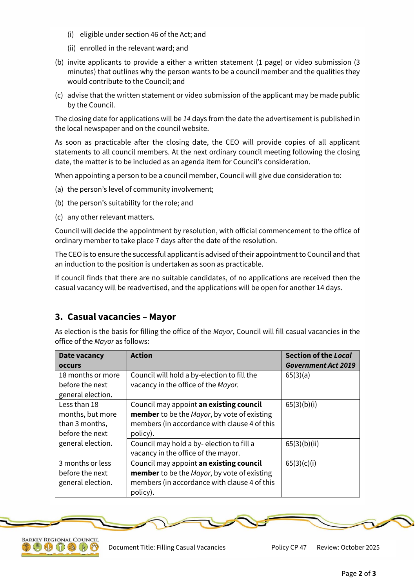- (i) eligible under section 46 of the Act; and
- (ii) enrolled in the relevant ward; and
- (b) invite applicants to provide a either a written statement (1 page) or video submission (3 minutes) that outlines why the person wants to be a council member and the qualities they would contribute to the Council; and
- (c) advise that the written statement or video submission of the applicant may be made public by the Council.

The closing date for applications will be *14* days from the date the advertisement is published in the local newspaper and on the council website.

As soon as practicable after the closing date, the CEO will provide copies of all applicant statements to all council members. At the next ordinary council meeting following the closing date, the matter is to be included as an agenda item for Council's consideration.

When appointing a person to be a council member, Council will give due consideration to:

- (a) the person's level of community involvement;
- (b) the person's suitability for the role; and
- (c) any other relevant matters.

Council will decide the appointment by resolution, with official commencement to the office of ordinary member to take place 7 days after the date of the resolution.

The CEO is to ensure the successful applicant is advised of their appointment to Council and that an induction to the position is undertaken as soon as practicable.

If council finds that there are no suitable candidates, of no applications are received then the casual vacancy will be readvertised, and the applications will be open for another 14 days.

#### **3. Casual vacancies – Mayor**

As election is the basis for filling the office of the *Mayor*, Council will fill casual vacancies in the office of the *Mayor* as follows:

| Date vacancy      | <b>Action</b>                                | <b>Section of the Local</b> |
|-------------------|----------------------------------------------|-----------------------------|
| <b>OCCULS</b>     |                                              | <b>Government Act 2019</b>  |
| 18 months or more | Council will hold a by-election to fill the  | 65(3)(a)                    |
| before the next   | vacancy in the office of the Mayor.          |                             |
| general election. |                                              |                             |
| Less than 18      | Council may appoint an existing council      | 65(3)(b)(i)                 |
| months, but more  | member to be the Mayor, by vote of existing  |                             |
| than 3 months,    | members (in accordance with clause 4 of this |                             |
| before the next   | policy).                                     |                             |
| general election. | Council may hold a by-election to fill a     | 65(3)(b)(ii)                |
|                   | vacancy in the office of the mayor.          |                             |
| 3 months or less  | Council may appoint an existing council      | 65(3)(c)(i)                 |
| before the next   | member to be the Mayor, by vote of existing  |                             |
| general election. | members (in accordance with clause 4 of this |                             |
|                   | policy).                                     |                             |